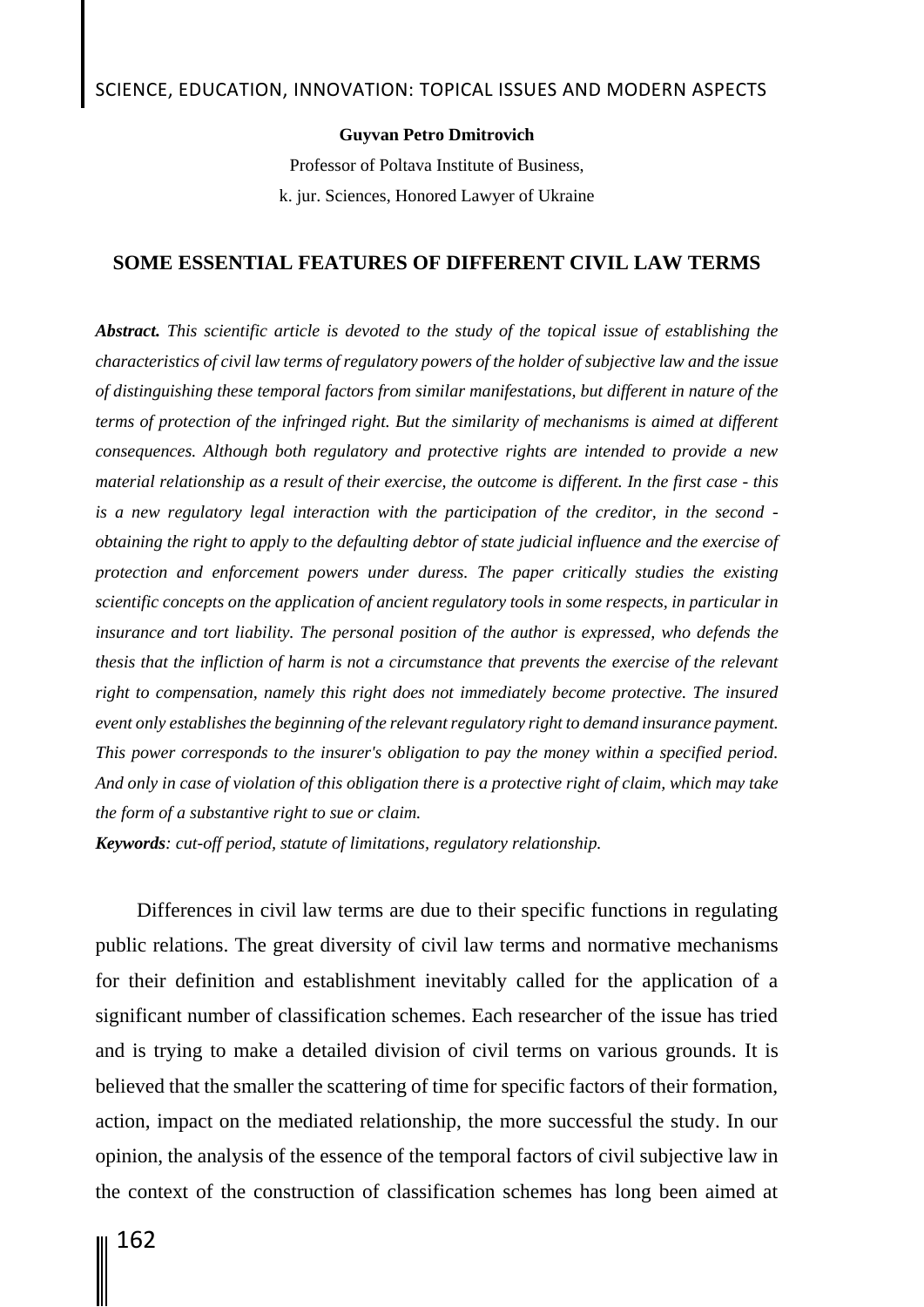#### **Guyvan Petro Dmitrovich**

Professor of Poltava Institute of Business, k. jur. Sciences, Honored Lawyer of Ukraine

### **SOME ESSENTIAL FEATURES OF DIFFERENT CIVIL LAW TERMS**

*Abstract. This scientific article is devoted to the study of the topical issue of establishing the characteristics of civil law terms of regulatory powers of the holder of subjective law and the issue of distinguishing these temporal factors from similar manifestations, but different in nature of the terms of protection of the infringed right. But the similarity of mechanisms is aimed at different consequences. Although both regulatory and protective rights are intended to provide a new material relationship as a result of their exercise, the outcome is different. In the first case - this is a new regulatory legal interaction with the participation of the creditor, in the second obtaining the right to apply to the defaulting debtor of state judicial influence and the exercise of protection and enforcement powers under duress. The paper critically studies the existing scientific concepts on the application of ancient regulatory tools in some respects, in particular in*  insurance and tort liability. The personal position of the author is expressed, who defends the *thesis that the infliction of harm is not a circumstance that prevents the exercise of the relevant*  right to compensation, namely this right does not immediately become protective. The insured *event only establishes the beginning of the relevant regulatory right to demand insurance payment. This power corresponds to the insurer's obligation to pay the money within a specified period. And only in case of violation of this obligation there is a protective right of claim, which may take the form of a substantive right to sue or claim.*

*Keywords: cut-off period, statute of limitations, regulatory relationship.*

Differences in civil law terms are due to their specific functions in regulating public relations. The great diversity of civil law terms and normative mechanisms for their definition and establishment inevitably called for the application of a significant number of classification schemes. Each researcher of the issue has tried and is trying to make a detailed division of civil terms on various grounds. It is believed that the smaller the scattering of time for specific factors of their formation, action, impact on the mediated relationship, the more successful the study. In our opinion, the analysis of the essence of the temporal factors of civil subjective law in the context of the construction of classification schemes has long been aimed at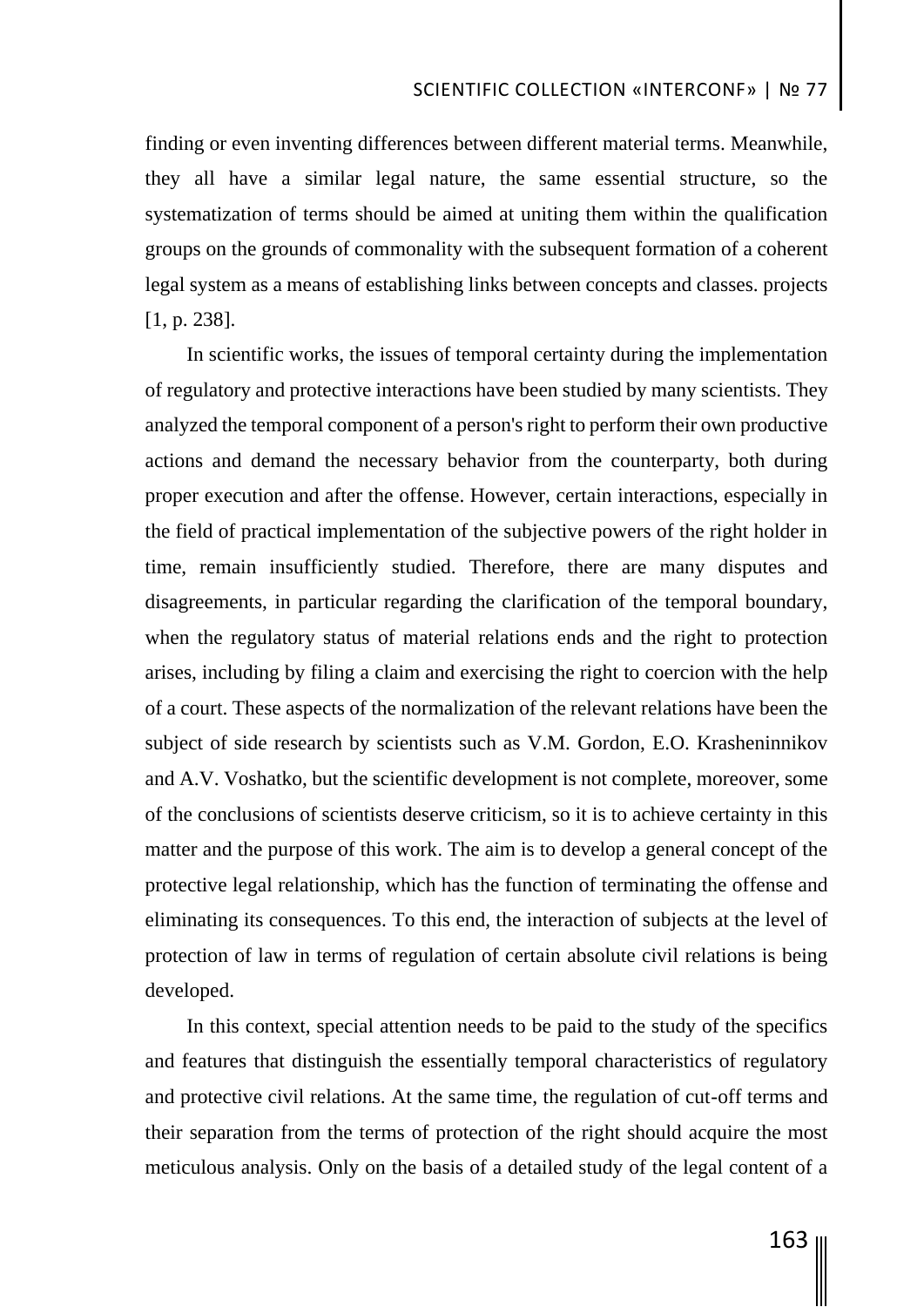finding or even inventing differences between different material terms. Meanwhile, they all have a similar legal nature, the same essential structure, so the systematization of terms should be aimed at uniting them within the qualification groups on the grounds of commonality with the subsequent formation of a coherent legal system as a means of establishing links between concepts and classes. projects [1, p. 238].

In scientific works, the issues of temporal certainty during the implementation of regulatory and protective interactions have been studied by many scientists. They analyzed the temporal component of a person's right to perform their own productive actions and demand the necessary behavior from the counterparty, both during proper execution and after the offense. However, certain interactions, especially in the field of practical implementation of the subjective powers of the right holder in time, remain insufficiently studied. Therefore, there are many disputes and disagreements, in particular regarding the clarification of the temporal boundary, when the regulatory status of material relations ends and the right to protection arises, including by filing a claim and exercising the right to coercion with the help of a court. These aspects of the normalization of the relevant relations have been the subject of side research by scientists such as V.M. Gordon, E.O. Krasheninnikov and A.V. Voshatko, but the scientific development is not complete, moreover, some of the conclusions of scientists deserve criticism, so it is to achieve certainty in this matter and the purpose of this work. The aim is to develop a general concept of the protective legal relationship, which has the function of terminating the offense and eliminating its consequences. To this end, the interaction of subjects at the level of protection of law in terms of regulation of certain absolute civil relations is being developed.

In this context, special attention needs to be paid to the study of the specifics and features that distinguish the essentially temporal characteristics of regulatory and protective civil relations. At the same time, the regulation of cut-off terms and their separation from the terms of protection of the right should acquire the most meticulous analysis. Only on the basis of a detailed study of the legal content of a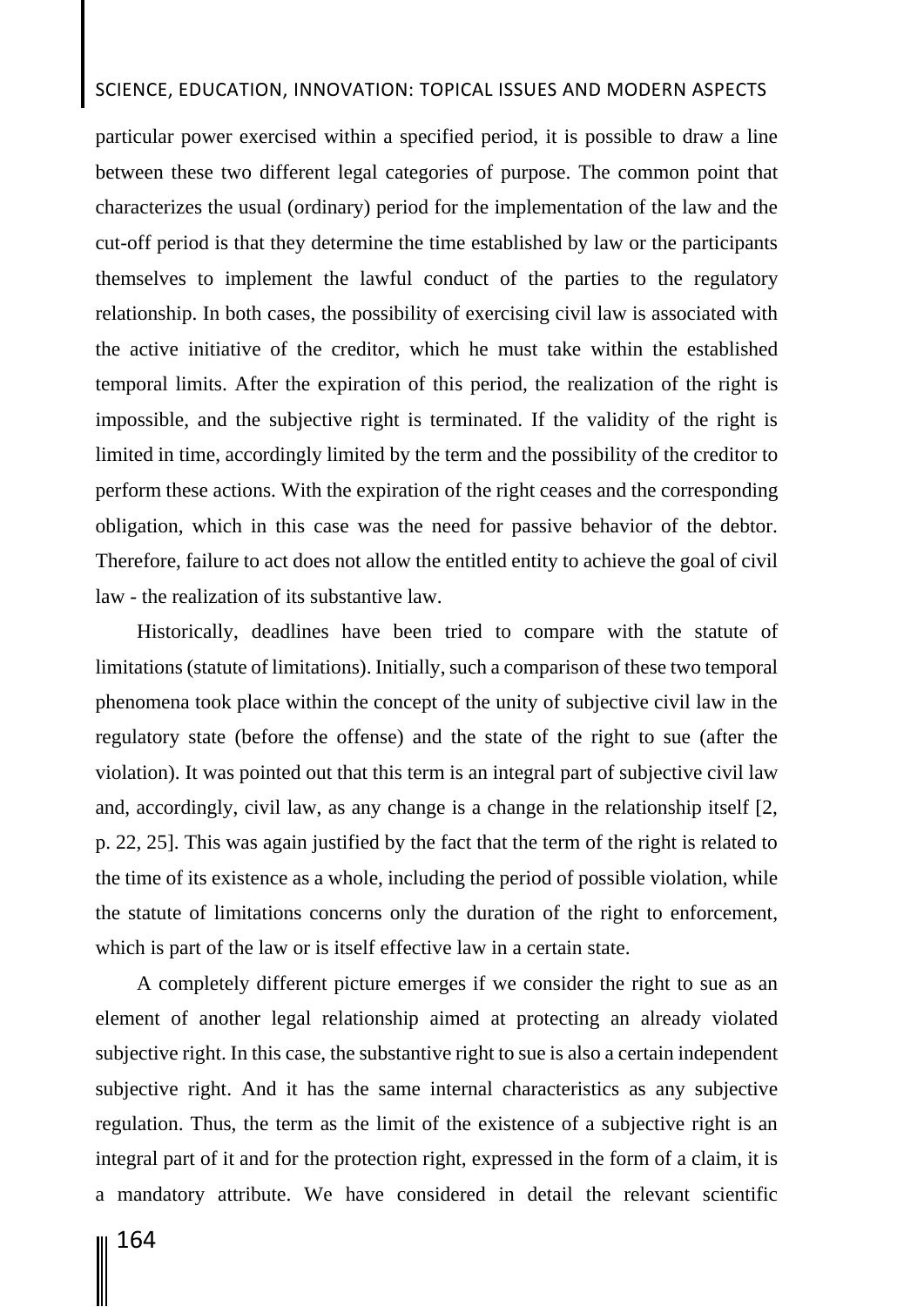## SCIENCE, EDUCATION, INNOVATION: TOPICAL ISSUES AND MODERN ASPECTS

particular power exercised within a specified period, it is possible to draw a line between these two different legal categories of purpose. The common point that characterizes the usual (ordinary) period for the implementation of the law and the cut-off period is that they determine the time established by law or the participants themselves to implement the lawful conduct of the parties to the regulatory relationship. In both cases, the possibility of exercising civil law is associated with the active initiative of the creditor, which he must take within the established temporal limits. After the expiration of this period, the realization of the right is impossible, and the subjective right is terminated. If the validity of the right is limited in time, accordingly limited by the term and the possibility of the creditor to perform these actions. With the expiration of the right ceases and the corresponding obligation, which in this case was the need for passive behavior of the debtor. Therefore, failure to act does not allow the entitled entity to achieve the goal of civil law - the realization of its substantive law.

Historically, deadlines have been tried to compare with the statute of limitations (statute of limitations). Initially, such a comparison of these two temporal phenomena took place within the concept of the unity of subjective civil law in the regulatory state (before the offense) and the state of the right to sue (after the violation). It was pointed out that this term is an integral part of subjective civil law and, accordingly, civil law, as any change is a change in the relationship itself [2, p. 22, 25]. This was again justified by the fact that the term of the right is related to the time of its existence as a whole, including the period of possible violation, while the statute of limitations concerns only the duration of the right to enforcement, which is part of the law or is itself effective law in a certain state.

A completely different picture emerges if we consider the right to sue as an element of another legal relationship aimed at protecting an already violated subjective right. In this case, the substantive right to sue is also a certain independent subjective right. And it has the same internal characteristics as any subjective regulation. Thus, the term as the limit of the existence of a subjective right is an integral part of it and for the protection right, expressed in the form of a claim, it is a mandatory attribute. We have considered in detail the relevant scientific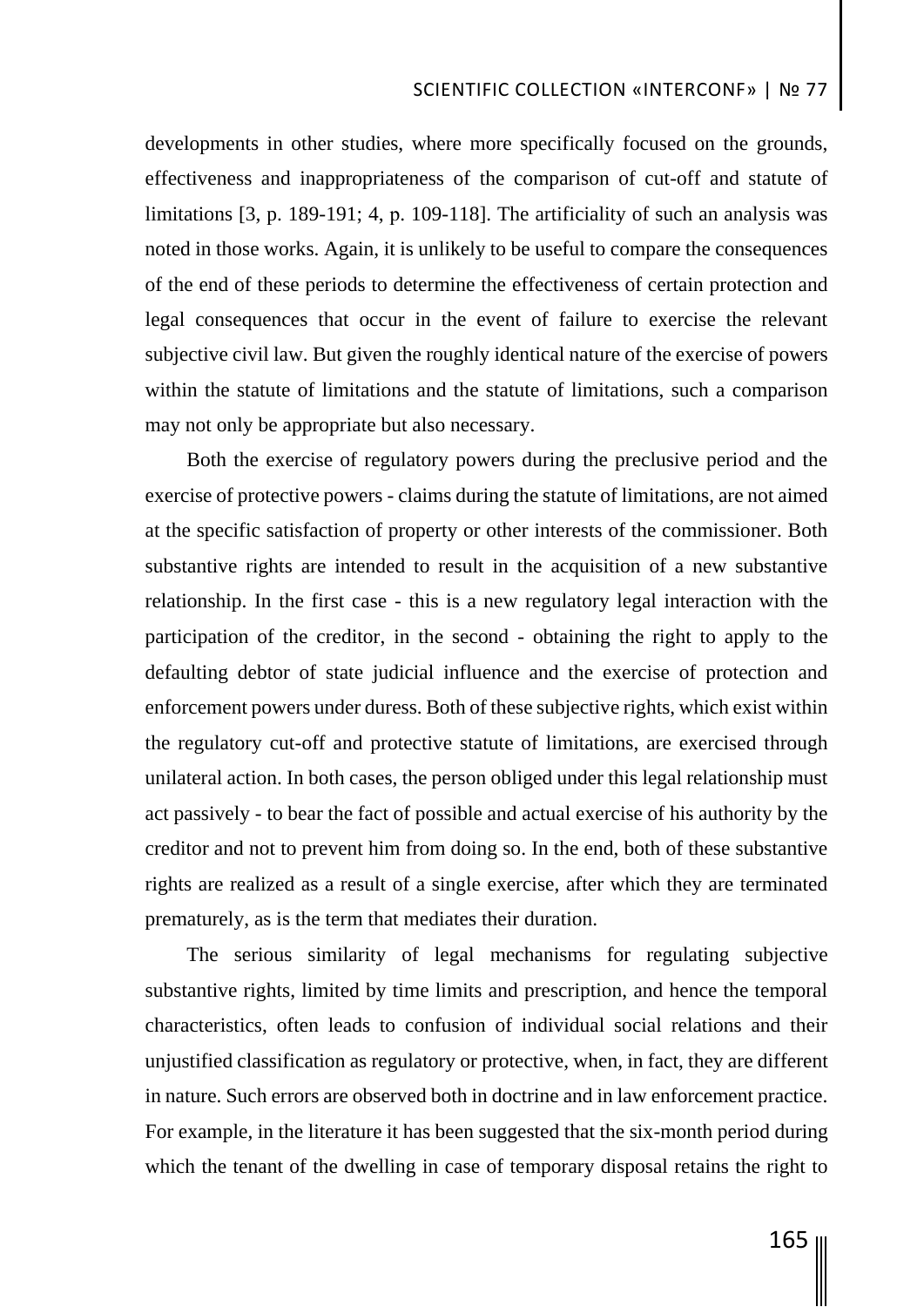developments in other studies, where more specifically focused on the grounds, effectiveness and inappropriateness of the comparison of cut-off and statute of limitations [3, p. 189-191; 4, р. 109-118]. The artificiality of such an analysis was noted in those works. Again, it is unlikely to be useful to compare the consequences of the end of these periods to determine the effectiveness of certain protection and legal consequences that occur in the event of failure to exercise the relevant subjective civil law. But given the roughly identical nature of the exercise of powers within the statute of limitations and the statute of limitations, such a comparison may not only be appropriate but also necessary.

Both the exercise of regulatory powers during the preclusive period and the exercise of protective powers - claims during the statute of limitations, are not aimed at the specific satisfaction of property or other interests of the commissioner. Both substantive rights are intended to result in the acquisition of a new substantive relationship. In the first case - this is a new regulatory legal interaction with the participation of the creditor, in the second - obtaining the right to apply to the defaulting debtor of state judicial influence and the exercise of protection and enforcement powers under duress. Both of these subjective rights, which exist within the regulatory cut-off and protective statute of limitations, are exercised through unilateral action. In both cases, the person obliged under this legal relationship must act passively - to bear the fact of possible and actual exercise of his authority by the creditor and not to prevent him from doing so. In the end, both of these substantive rights are realized as a result of a single exercise, after which they are terminated prematurely, as is the term that mediates their duration.

The serious similarity of legal mechanisms for regulating subjective substantive rights, limited by time limits and prescription, and hence the temporal characteristics, often leads to confusion of individual social relations and their unjustified classification as regulatory or protective, when, in fact, they are different in nature. Such errors are observed both in doctrine and in law enforcement practice. For example, in the literature it has been suggested that the six-month period during which the tenant of the dwelling in case of temporary disposal retains the right to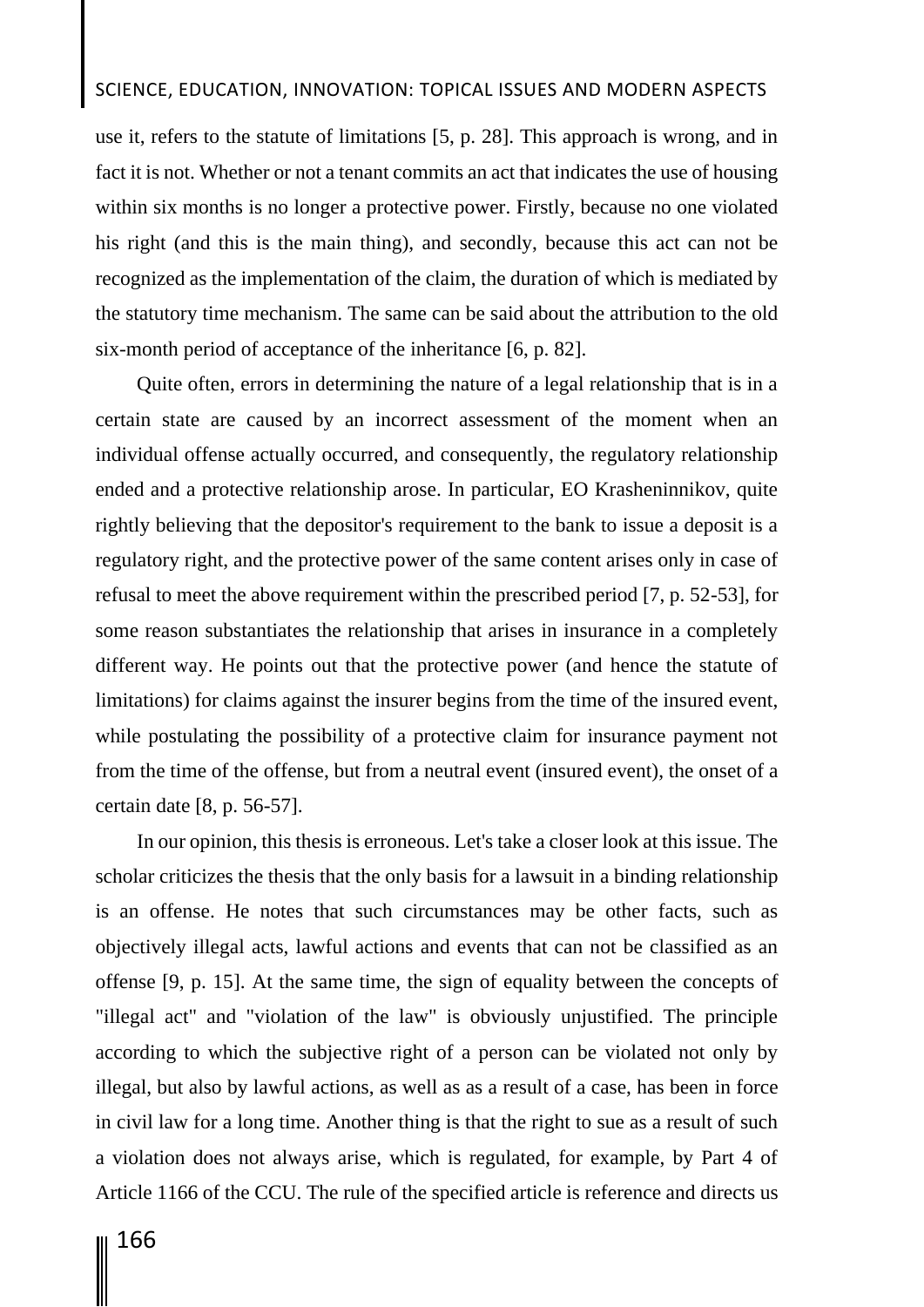## SCIENCE, EDUCATION, INNOVATION: TOPICAL ISSUES AND MODERN ASPECTS

use it, refers to the statute of limitations [5, p. 28]. This approach is wrong, and in fact it is not. Whether or not a tenant commits an act that indicates the use of housing within six months is no longer a protective power. Firstly, because no one violated his right (and this is the main thing), and secondly, because this act can not be recognized as the implementation of the claim, the duration of which is mediated by the statutory time mechanism. The same can be said about the attribution to the old six-month period of acceptance of the inheritance [6, p. 82].

Quite often, errors in determining the nature of a legal relationship that is in a certain state are caused by an incorrect assessment of the moment when an individual offense actually occurred, and consequently, the regulatory relationship ended and a protective relationship arose. In particular, EO Krasheninnikov, quite rightly believing that the depositor's requirement to the bank to issue a deposit is a regulatory right, and the protective power of the same content arises only in case of refusal to meet the above requirement within the prescribed period [7, p. 52-53], for some reason substantiates the relationship that arises in insurance in a completely different way. He points out that the protective power (and hence the statute of limitations) for claims against the insurer begins from the time of the insured event, while postulating the possibility of a protective claim for insurance payment not from the time of the offense, but from a neutral event (insured event), the onset of a certain date [8, p. 56-57].

In our opinion, this thesis is erroneous. Let's take a closer look at this issue. The scholar criticizes the thesis that the only basis for a lawsuit in a binding relationship is an offense. He notes that such circumstances may be other facts, such as objectively illegal acts, lawful actions and events that can not be classified as an offense [9, p. 15]. At the same time, the sign of equality between the concepts of "illegal act" and "violation of the law" is obviously unjustified. The principle according to which the subjective right of a person can be violated not only by illegal, but also by lawful actions, as well as as a result of a case, has been in force in civil law for a long time. Another thing is that the right to sue as a result of such a violation does not always arise, which is regulated, for example, by Part 4 of Article 1166 of the CCU. The rule of the specified article is reference and directs us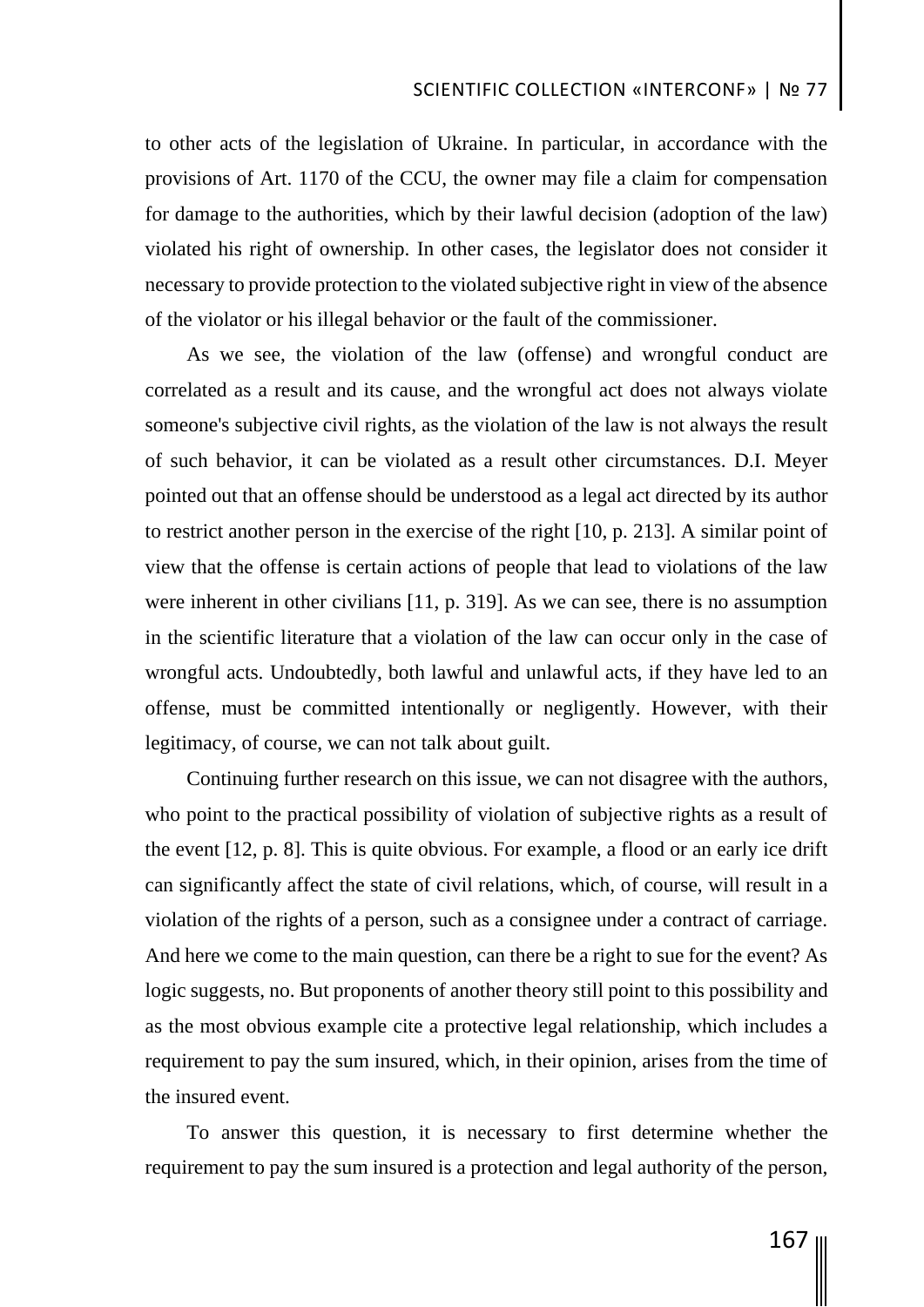to other acts of the legislation of Ukraine. In particular, in accordance with the provisions of Art. 1170 of the CCU, the owner may file a claim for compensation for damage to the authorities, which by their lawful decision (adoption of the law) violated his right of ownership. In other cases, the legislator does not consider it necessary to provide protection to the violated subjective right in view of the absence of the violator or his illegal behavior or the fault of the commissioner.

As we see, the violation of the law (offense) and wrongful conduct are correlated as a result and its cause, and the wrongful act does not always violate someone's subjective civil rights, as the violation of the law is not always the result of such behavior, it can be violated as a result other circumstances. D.I. Meyer pointed out that an offense should be understood as a legal act directed by its author to restrict another person in the exercise of the right [10, p. 213]. A similar point of view that the offense is certain actions of people that lead to violations of the law were inherent in other civilians [11, p. 319]. As we can see, there is no assumption in the scientific literature that a violation of the law can occur only in the case of wrongful acts. Undoubtedly, both lawful and unlawful acts, if they have led to an offense, must be committed intentionally or negligently. However, with their legitimacy, of course, we can not talk about guilt.

Continuing further research on this issue, we can not disagree with the authors, who point to the practical possibility of violation of subjective rights as a result of the event [12, p. 8]. This is quite obvious. For example, a flood or an early ice drift can significantly affect the state of civil relations, which, of course, will result in a violation of the rights of a person, such as a consignee under a contract of carriage. And here we come to the main question, can there be a right to sue for the event? As logic suggests, no. But proponents of another theory still point to this possibility and as the most obvious example cite a protective legal relationship, which includes a requirement to pay the sum insured, which, in their opinion, arises from the time of the insured event.

To answer this question, it is necessary to first determine whether the requirement to pay the sum insured is a protection and legal authority of the person,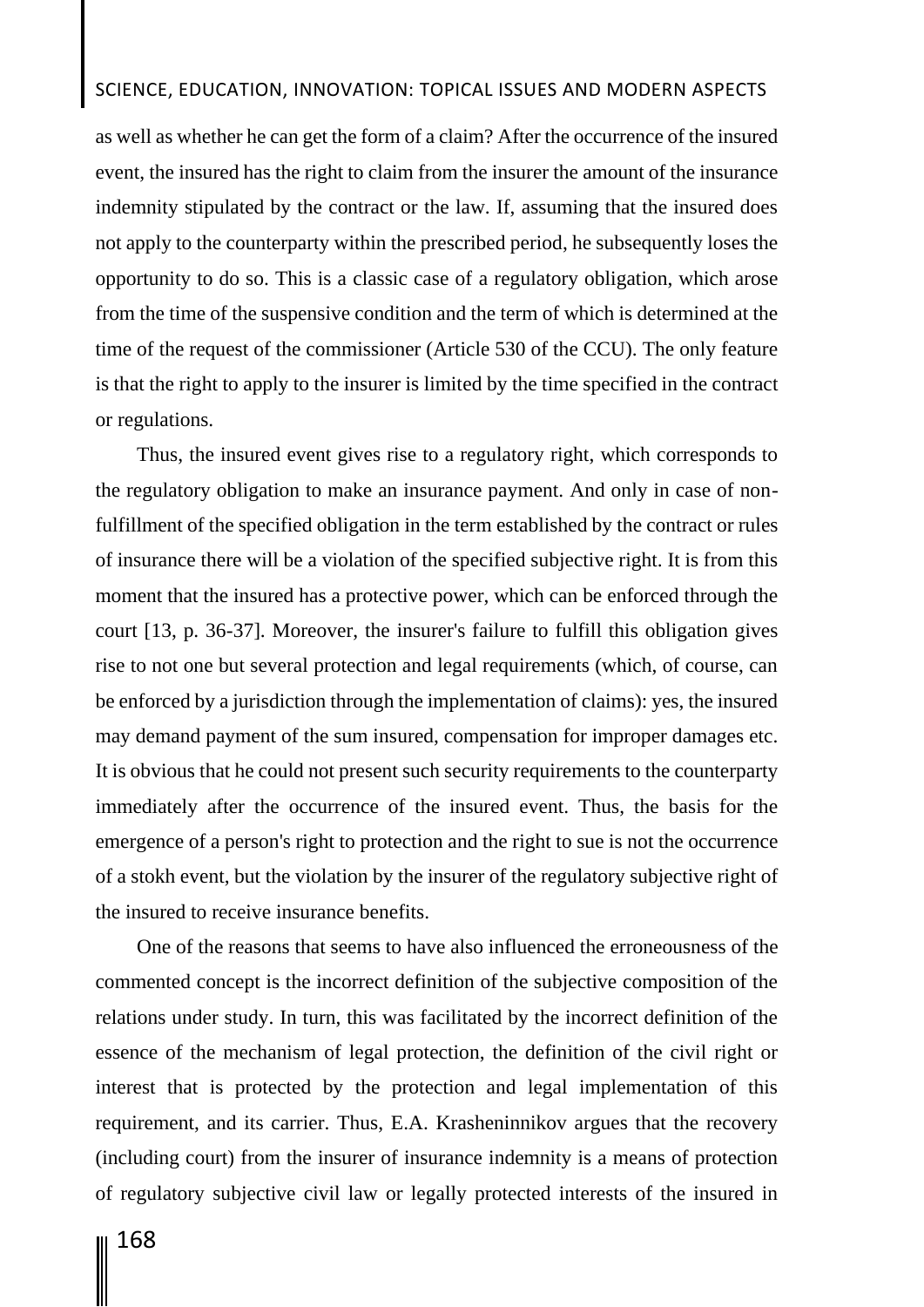# SCIENCE, EDUCATION, INNOVATION: TOPICAL ISSUES AND MODERN ASPECTS

as well as whether he can get the form of a claim? After the occurrence of the insured event, the insured has the right to claim from the insurer the amount of the insurance indemnity stipulated by the contract or the law. If, assuming that the insured does not apply to the counterparty within the prescribed period, he subsequently loses the opportunity to do so. This is a classic case of a regulatory obligation, which arose from the time of the suspensive condition and the term of which is determined at the time of the request of the commissioner (Article 530 of the CCU). The only feature is that the right to apply to the insurer is limited by the time specified in the contract or regulations.

Thus, the insured event gives rise to a regulatory right, which corresponds to the regulatory obligation to make an insurance payment. And only in case of nonfulfillment of the specified obligation in the term established by the contract or rules of insurance there will be a violation of the specified subjective right. It is from this moment that the insured has a protective power, which can be enforced through the court [13, p. 36-37]. Moreover, the insurer's failure to fulfill this obligation gives rise to not one but several protection and legal requirements (which, of course, can be enforced by a jurisdiction through the implementation of claims): yes, the insured may demand payment of the sum insured, compensation for improper damages etc. It is obvious that he could not present such security requirements to the counterparty immediately after the occurrence of the insured event. Thus, the basis for the emergence of a person's right to protection and the right to sue is not the occurrence of a stokh event, but the violation by the insurer of the regulatory subjective right of the insured to receive insurance benefits.

One of the reasons that seems to have also influenced the erroneousness of the commented concept is the incorrect definition of the subjective composition of the relations under study. In turn, this was facilitated by the incorrect definition of the essence of the mechanism of legal protection, the definition of the civil right or interest that is protected by the protection and legal implementation of this requirement, and its carrier. Thus, E.A. Krasheninnikov argues that the recovery (including court) from the insurer of insurance indemnity is a means of protection of regulatory subjective civil law or legally protected interests of the insured in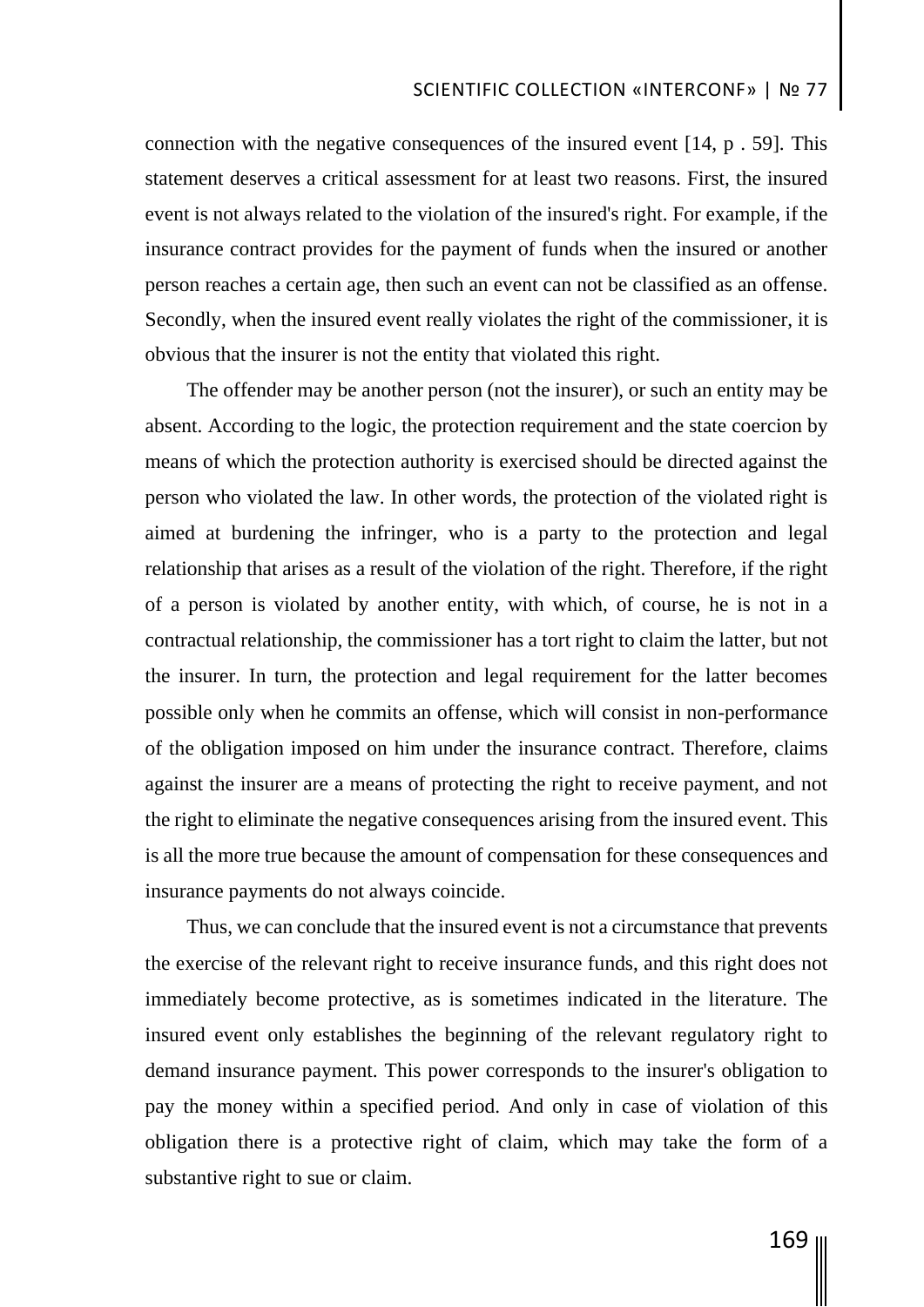connection with the negative consequences of the insured event [14, p . 59]. This statement deserves a critical assessment for at least two reasons. First, the insured event is not always related to the violation of the insured's right. For example, if the insurance contract provides for the payment of funds when the insured or another person reaches a certain age, then such an event can not be classified as an offense. Secondly, when the insured event really violates the right of the commissioner, it is obvious that the insurer is not the entity that violated this right.

The offender may be another person (not the insurer), or such an entity may be absent. According to the logic, the protection requirement and the state coercion by means of which the protection authority is exercised should be directed against the person who violated the law. In other words, the protection of the violated right is aimed at burdening the infringer, who is a party to the protection and legal relationship that arises as a result of the violation of the right. Therefore, if the right of a person is violated by another entity, with which, of course, he is not in a contractual relationship, the commissioner has a tort right to claim the latter, but not the insurer. In turn, the protection and legal requirement for the latter becomes possible only when he commits an offense, which will consist in non-performance of the obligation imposed on him under the insurance contract. Therefore, claims against the insurer are a means of protecting the right to receive payment, and not the right to eliminate the negative consequences arising from the insured event. This is all the more true because the amount of compensation for these consequences and insurance payments do not always coincide.

Thus, we can conclude that the insured event is not a circumstance that prevents the exercise of the relevant right to receive insurance funds, and this right does not immediately become protective, as is sometimes indicated in the literature. The insured event only establishes the beginning of the relevant regulatory right to demand insurance payment. This power corresponds to the insurer's obligation to pay the money within a specified period. And only in case of violation of this obligation there is a protective right of claim, which may take the form of a substantive right to sue or claim.